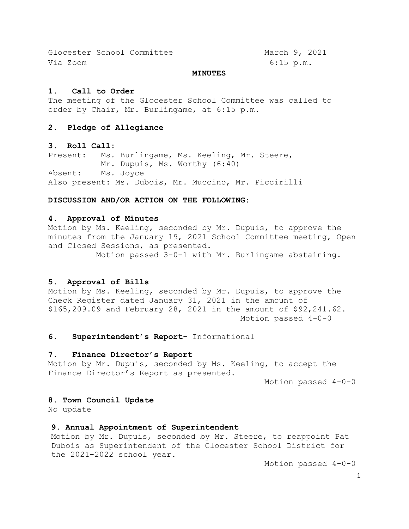Glocester School Committee March 9, 2021 Via Zoom 6:15 p.m.

### **MINUTES**

#### **1. Call to Order**

The meeting of the Glocester School Committee was called to order by Chair, Mr. Burlingame, at 6:15 p.m.

### **2. Pledge of Allegiance**

### **3. Roll Call:**

Present: Ms. Burlingame, Ms. Keeling, Mr. Steere, Mr. Dupuis, Ms. Worthy (6:40) Absent: Ms. Joyce Also present: Ms. Dubois, Mr. Muccino, Mr. Piccirilli

### **DISCUSSION AND/OR ACTION ON THE FOLLOWING:**

### **4. Approval of Minutes**

Motion by Ms. Keeling, seconded by Mr. Dupuis, to approve the minutes from the January 19, 2021 School Committee meeting, Open and Closed Sessions, as presented.

Motion passed 3-0-1 with Mr. Burlingame abstaining.

### **5. Approval of Bills**

Motion by Ms. Keeling, seconded by Mr. Dupuis, to approve the Check Register dated January 31, 2021 in the amount of \$165,209.09 and February 28, 2021 in the amount of \$92,241.62. Motion passed 4-0-0

**6. Superintendent's Report-** Informational

### **7. Finance Director's Report**

Motion by Mr. Dupuis, seconded by Ms. Keeling, to accept the Finance Director's Report as presented.

Motion passed 4-0-0

### **8. Town Council Update**

No update

### **9. Annual Appointment of Superintendent**

Motion by Mr. Dupuis, seconded by Mr. Steere, to reappoint Pat Dubois as Superintendent of the Glocester School District for the 2021-2022 school year.

Motion passed 4-0-0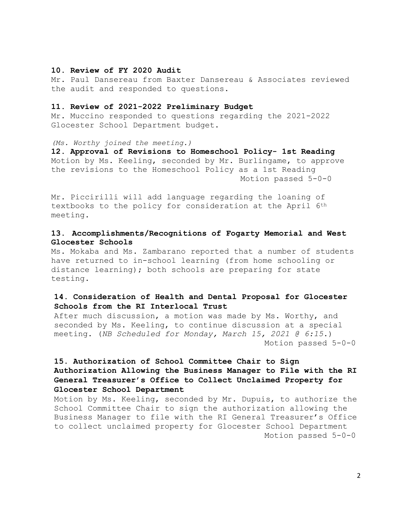### **10. Review of FY 2020 Audit**

Mr. Paul Dansereau from Baxter Dansereau & Associates reviewed the audit and responded to questions.

### **11. Review of 2021-2022 Preliminary Budget**

Mr. Muccino responded to questions regarding the 2021-2022 Glocester School Department budget.

*(Ms. Worthy joined the meeting.)*

**12. Approval of Revisions to Homeschool Policy- 1st Reading**  Motion by Ms. Keeling, seconded by Mr. Burlingame, to approve the revisions to the Homeschool Policy as a 1st Reading Motion passed 5-0-0

Mr. Piccirilli will add language regarding the loaning of textbooks to the policy for consideration at the April 6th meeting.

## **13. Accomplishments/Recognitions of Fogarty Memorial and West Glocester Schools**

Ms. Mokaba and Ms. Zambarano reported that a number of students have returned to in-school learning (from home schooling or distance learning); both schools are preparing for state testing.

## **14. Consideration of Health and Dental Proposal for Glocester Schools from the RI Interlocal Trust**

After much discussion, a motion was made by Ms. Worthy, and seconded by Ms. Keeling, to continue discussion at a special meeting. (*NB Scheduled for Monday, March 15, 2021 @ 6:15*.) Motion passed 5-0-0

# **15. Authorization of School Committee Chair to Sign Authorization Allowing the Business Manager to File with the RI General Treasurer's Office to Collect Unclaimed Property for Glocester School Department**

Motion by Ms. Keeling, seconded by Mr. Dupuis, to authorize the School Committee Chair to sign the authorization allowing the Business Manager to file with the RI General Treasurer's Office to collect unclaimed property for Glocester School Department Motion passed 5-0-0